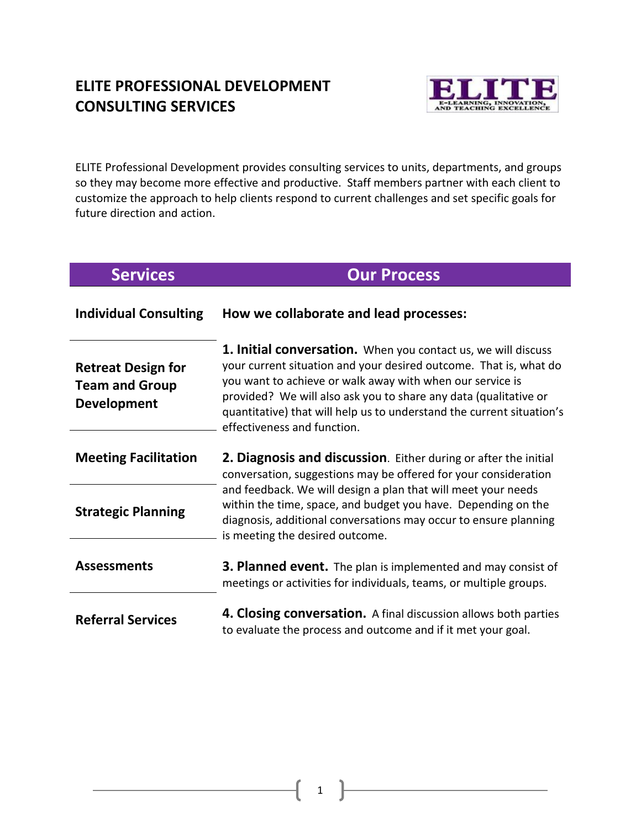# **ELITE PROFESSIONAL DEVELOPMENT CONSULTING SERVICES**



ELITE Professional Development provides consulting services to units, departments, and groups so they may become more effective and productive. Staff members partner with each client to customize the approach to help clients respond to current challenges and set specific goals for future direction and action.

# **Services Our Process**

| <b>Individual Consulting</b>                                             | How we collaborate and lead processes:                                                                                                                                                                                                                                                                                                                                             |
|--------------------------------------------------------------------------|------------------------------------------------------------------------------------------------------------------------------------------------------------------------------------------------------------------------------------------------------------------------------------------------------------------------------------------------------------------------------------|
| <b>Retreat Design for</b><br><b>Team and Group</b><br><b>Development</b> | <b>1. Initial conversation.</b> When you contact us, we will discuss<br>your current situation and your desired outcome. That is, what do<br>you want to achieve or walk away with when our service is<br>provided? We will also ask you to share any data (qualitative or<br>quantitative) that will help us to understand the current situation's<br>effectiveness and function. |
| <b>Meeting Facilitation</b>                                              | 2. Diagnosis and discussion. Either during or after the initial<br>conversation, suggestions may be offered for your consideration                                                                                                                                                                                                                                                 |
| <b>Strategic Planning</b>                                                | and feedback. We will design a plan that will meet your needs<br>within the time, space, and budget you have. Depending on the<br>diagnosis, additional conversations may occur to ensure planning<br>is meeting the desired outcome.                                                                                                                                              |
| <b>Assessments</b>                                                       | <b>3. Planned event.</b> The plan is implemented and may consist of<br>meetings or activities for individuals, teams, or multiple groups.                                                                                                                                                                                                                                          |
| <b>Referral Services</b>                                                 | 4. Closing conversation. A final discussion allows both parties<br>to evaluate the process and outcome and if it met your goal.                                                                                                                                                                                                                                                    |